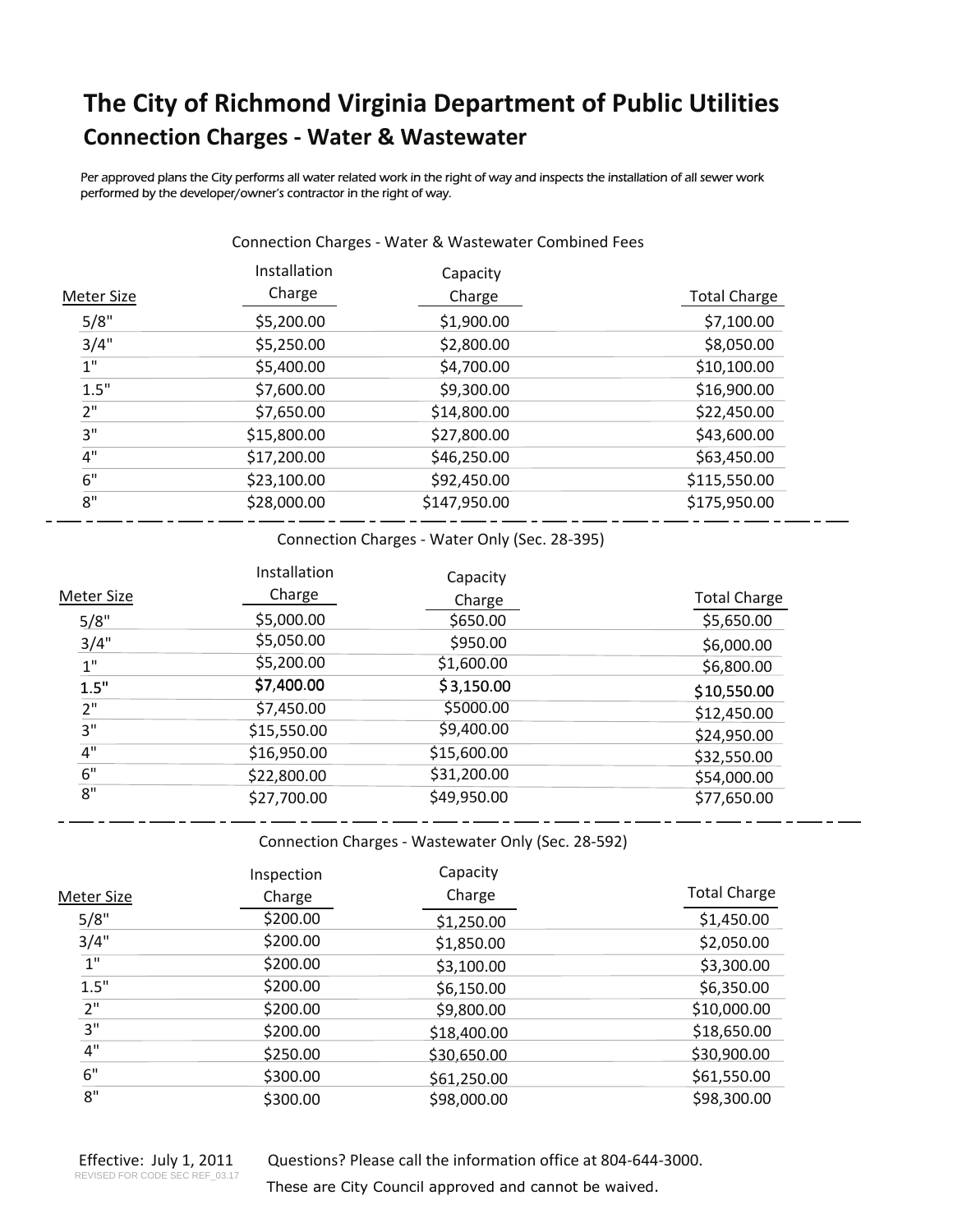## **The City of Richmond Virginia Department of Public Utilities Connection ChargesͲWater & Wastewater**

Per approved plans the City performs all water related work in the right of way and inspects the installation of all sewer work performed by the developer/owner's contractor in the right of way.

| <b>Meter Size</b> | Installation<br>Charge | Capacity<br>Charge | <b>Total Charge</b> |
|-------------------|------------------------|--------------------|---------------------|
| 5/8"              | \$5,200.00             | \$1,900.00         | \$7,100.00          |
| 3/4"              | \$5,250.00             | \$2,800.00         | \$8,050.00          |
| 1"                | \$5,400.00             | \$4,700.00         | \$10,100.00         |
| 1.5"              | \$7,600.00             | \$9,300.00         | \$16,900.00         |
| 2"                | \$7,650.00             | \$14,800.00        | \$22,450.00         |
| 3"                | \$15,800.00            | \$27,800.00        | \$43,600.00         |
| 4"                | \$17,200.00            | \$46,250.00        | \$63,450.00         |
| 6"                | \$23,100.00            | \$92,450.00        | \$115,550.00        |
| 8"                | \$28,000.00            | \$147,950.00       | \$175,950.00        |

Connection Charges - Water & Wastewater Combined Fees

Connection Charges - Water Only (Sec. 28-395)

|                   | Installation | Capacity    |                     |
|-------------------|--------------|-------------|---------------------|
| <b>Meter Size</b> | Charge       | Charge      | <b>Total Charge</b> |
| 5/8"              | \$5,000.00   | \$650.00    | \$5,650.00          |
| 3/4"              | \$5,050.00   | \$950.00    | \$6,000.00          |
| 1"                | \$5,200.00   | \$1,600.00  | \$6,800.00          |
| 1.5"              | \$7,400.00   | \$3,150.00  | \$10,550.00         |
| 2"                | \$7,450.00   | \$5000.00   | \$12,450.00         |
| 3"                | \$15,550.00  | \$9,400.00  | \$24,950.00         |
| 4"                | \$16,950.00  | \$15,600.00 | \$32,550.00         |
| 6"                | \$22,800.00  | \$31,200.00 | \$54,000.00         |
| 8"                | \$27,700.00  | \$49,950.00 | \$77,650.00         |

Connection Charges - Wastewater Only (Sec. 28-592)

 $- - -$ 

|                 | Inspection | Capacity    |                     |
|-----------------|------------|-------------|---------------------|
| Meter Size      | Charge     | Charge      | <b>Total Charge</b> |
| 5/8"            | \$200.00   | \$1,250.00  | \$1,450.00          |
| 3/4"            | \$200.00   | \$1,850.00  | \$2,050.00          |
| 1 <sup>''</sup> | \$200.00   | \$3,100.00  | \$3,300.00          |
| 1.5"            | \$200.00   | \$6,150.00  | \$6,350.00          |
| 2"              | \$200.00   | \$9,800.00  | \$10,000.00         |
| 3"              | \$200.00   | \$18,400.00 | \$18,650.00         |
| $4"$            | \$250.00   | \$30,650.00 | \$30,900.00         |
| 6"              | \$300.00   | \$61,250.00 | \$61,550.00         |
| 8"              | \$300.00   | \$98,000.00 | \$98,300.00         |

Questions? Please call the information office at 804-644-3000.

These are City Council approved and cannot be waived.